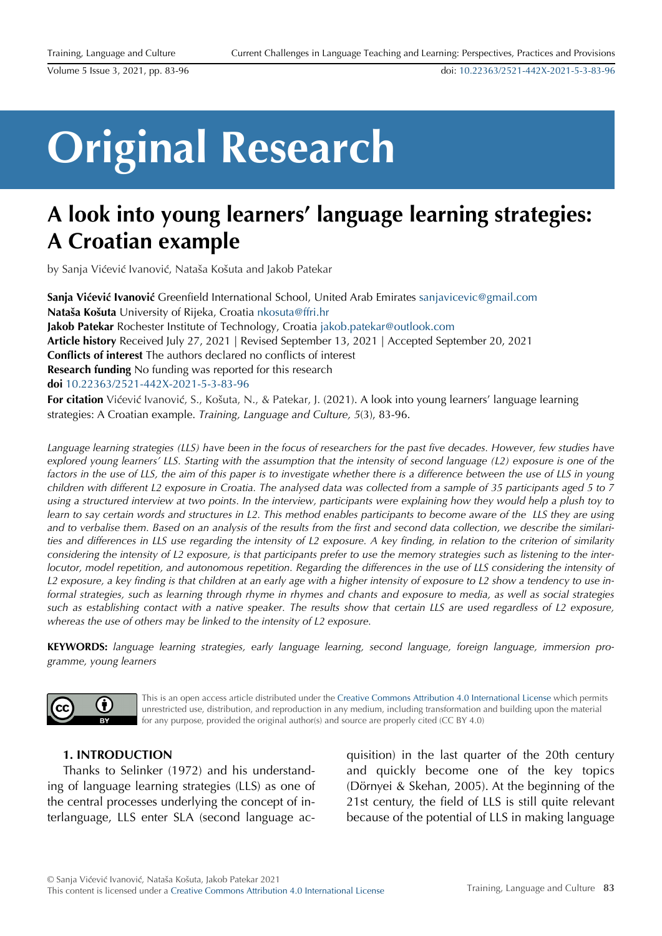doi: [10.22363/2521-442X-2021-5-3-83-96](https://doi.org/10.22363/2521-442X-2021-5-3-83-96)

# **Original Research**

strategies: A Croatian example. *Training, Language and Culture, 5*(3), 83-96.

# **A look into young learners' language learning strategies: A Croatian example**

by Sanja Vićević Ivanović, Nataša Košuta and Jakob Patekar

**Sanja Vićević Ivanović** Greenfield International School, United Arab Emirates [sanjavicevic@gmail.com](mailto:sanjavicevic@gmail.com) **Nataša Košuta** University of Rijeka, Croatia [nkosuta@ffri.hr](mailto:nkosuta@ffri.hr) **Jakob Patekar** Rochester Institute of Technology, Croatia [jakob.patekar@outlook.com](mailto:jakob.patekar@outlook.com) **Article history** Received July 27, 2021 | Revised September 13, 2021 | Accepted September 20, 2021 **Conflicts of interest** The authors declared no conflicts of interest **Research funding** No funding was reported for this research **doi** [10.22363/2521-442X-2021-5-3-83-96](https://doi.org/10.22363/2521-442X-2021-5-3-83-96) **For citation** Vićević Ivanović, S., Košuta, N., & Patekar, J. (2021). A look into young learners' language learning

*Language learning strategies (LLS) have been in the focus of researchers for the past five decades. However, few studies have explored young learners' LLS. Starting with the assumption that the intensity of second language (L2) exposure is one of the*  factors in the use of LLS, the aim of this paper is to investigate whether there is a difference between the use of LLS in young *children with different L2 exposure in Croatia. The analysed data was collected from a sample of 35 participants aged 5 to 7 using a structured interview at two points. In the interview, participants were explaining how they would help a plush toy to learn to say certain words and structures in L2. This method enables participants to become aware of the LLS they are using and to verbalise them. Based on an analysis of the results from the first and second data collection, we describe the similari-*

*ties and differences in LLS use regarding the intensity of L2 exposure. A key finding, in relation to the criterion of similarity considering the intensity of L2 exposure, is that participants prefer to use the memory strategies such as listening to the interlocutor, model repetition, and autonomous repetition. Regarding the differences in the use of LLS considering the intensity of L2 exposure, a key finding is that children at an early age with a higher intensity of exposure to L2 show a tendency to use informal strategies, such as learning through rhyme in rhymes and chants and exposure to media, as well as social strategies such as establishing contact with a native speaker. The results show that certain LLS are used regardless of L2 exposure, whereas the use of others may be linked to the intensity of L2 exposure.*

**KEYWORDS:** *language learning strategies, early language learning, second language, foreign language, immersion programme, young learners*



This is an open access article distributed under the [Creative Commons Attribution 4.0 International License](https://creativecommons.org/licenses/by/4.0) which permits unrestricted use, distribution, and reproduction in any medium, including transformation and building upon the material for any purpose, provided the original author(s) and source are properly cited (CC BY 4.0)

# **1. INTRODUCTION**

Thanks to Selinker (1972) and his understanding of language learning strategies (LLS) as one of the central processes underlying the concept of interlanguage, LLS enter SLA (second language acquisition) in the last quarter of the 20th century and quickly become one of the key topics (Dörnyei & Skehan, 2005). At the beginning of the 21st century, the field of LLS is still quite relevant because of the potential of LLS in making language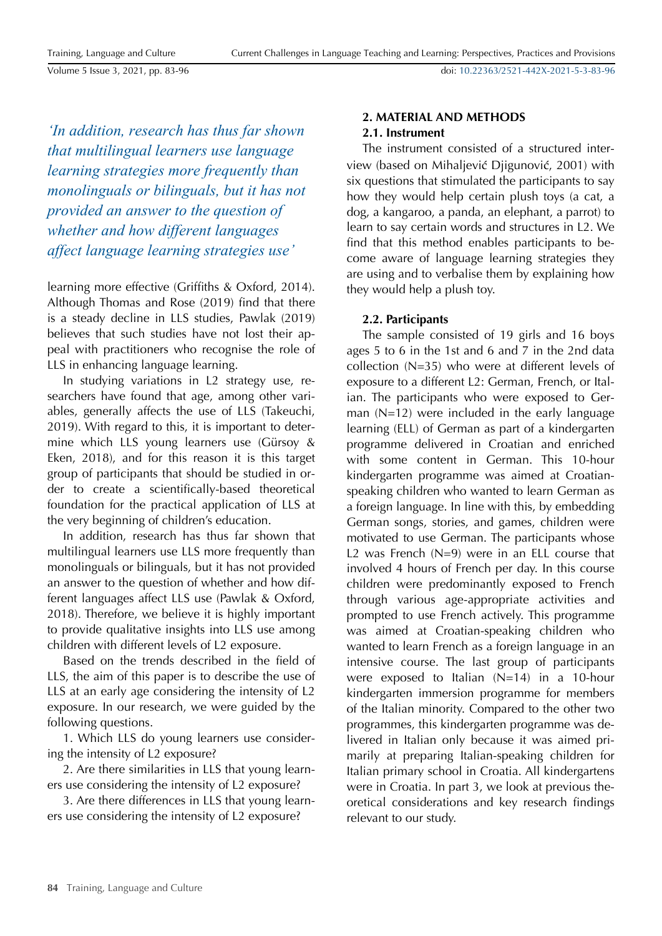Training, Language and Culture

Volume 5 Issue 3, 2021, pp. 83-96

doi: [10.22363/2521-442X-2021-5-3-83-96](https://doi.org/10.22363/2521-442X-2021-5-3-83-96)

*'In addition, research has thus far shown that multilingual learners use language learning strategies more frequently than monolinguals or bilinguals, but it has not provided an answer to the question of whether and how different languages affect language learning strategies use'*

learning more effective (Griffiths & Oxford, 2014). Although Thomas and Rose (2019) find that there is a steady decline in LLS studies, Pawlak (2019) believes that such studies have not lost their appeal with practitioners who recognise the role of LLS in enhancing language learning.

In studying variations in L2 strategy use, researchers have found that age, among other variables, generally affects the use of LLS (Takeuchi, 2019). With regard to this, it is important to determine which LLS young learners use (Gürsoy & Eken, 2018), and for this reason it is this target group of participants that should be studied in order to create a scientifically-based theoretical foundation for the practical application of LLS at the very beginning of children's education.

In addition, research has thus far shown that multilingual learners use LLS more frequently than monolinguals or bilinguals, but it has not provided an answer to the question of whether and how different languages affect LLS use (Pawlak & Oxford, 2018). Therefore, we believe it is highly important to provide qualitative insights into LLS use among children with different levels of L2 exposure.

Based on the trends described in the field of LLS, the aim of this paper is to describe the use of LLS at an early age considering the intensity of L2 exposure. In our research, we were guided by the following questions.

1. Which LLS do young learners use considering the intensity of L2 exposure?

2. Are there similarities in LLS that young learners use considering the intensity of L2 exposure?

3. Are there differences in LLS that young learners use considering the intensity of L2 exposure?

# **2. MATERIAL AND METHODS 2.1. Instrument**

The instrument consisted of a structured interview (based on Mihaljević Djigunović, 2001) with six questions that stimulated the participants to say how they would help certain plush toys (a cat, a dog, a kangaroo, a panda, an elephant, a parrot) to learn to say certain words and structures in L2. We find that this method enables participants to become aware of language learning strategies they are using and to verbalise them by explaining how they would help a plush toy.

# **2.2. Participants**

The sample consisted of 19 girls and 16 boys ages 5 to 6 in the 1st and 6 and 7 in the 2nd data collection (N=35) who were at different levels of exposure to a different L2: German, French, or Italian. The participants who were exposed to German (N=12) were included in the early language learning (ELL) of German as part of a kindergarten programme delivered in Croatian and enriched with some content in German. This 10-hour kindergarten programme was aimed at Croatianspeaking children who wanted to learn German as a foreign language. In line with this, by embedding German songs, stories, and games, children were motivated to use German. The participants whose L2 was French (N=9) were in an ELL course that involved 4 hours of French per day. In this course children were predominantly exposed to French through various age-appropriate activities and prompted to use French actively. This programme was aimed at Croatian-speaking children who wanted to learn French as a foreign language in an intensive course. The last group of participants were exposed to Italian (N=14) in a 10-hour kindergarten immersion programme for members of the Italian minority. Compared to the other two programmes, this kindergarten programme was delivered in Italian only because it was aimed primarily at preparing Italian-speaking children for Italian primary school in Croatia. All kindergartens were in Croatia. In part 3, we look at previous theoretical considerations and key research findings relevant to our study.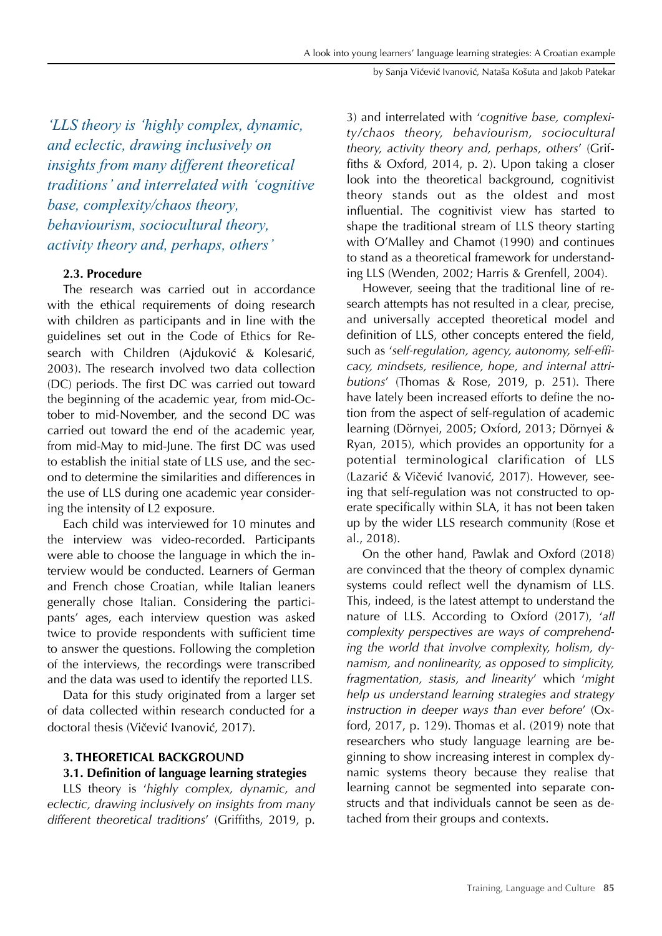*'LLS theory is 'highly complex, dynamic, and eclectic, drawing inclusively on insights from many different theoretical traditions' and interrelated with 'cognitive base, complexity/chaos theory, behaviourism, sociocultural theory, activity theory and, perhaps, others'*

# **2.3. Procedure**

The research was carried out in accordance with the ethical requirements of doing research with children as participants and in line with the guidelines set out in the Code of Ethics for Research with Children (Ajduković & Kolesarić, 2003). The research involved two data collection (DC) periods. The first DC was carried out toward the beginning of the academic year, from mid-October to mid-November, and the second DC was carried out toward the end of the academic year, from mid-May to mid-June. The first DC was used to establish the initial state of LLS use, and the second to determine the similarities and differences in the use of LLS during one academic year considering the intensity of L2 exposure.

Each child was interviewed for 10 minutes and the interview was video-recorded. Participants were able to choose the language in which the interview would be conducted. Learners of German and French chose Croatian, while Italian leaners generally chose Italian. Considering the participants' ages, each interview question was asked twice to provide respondents with sufficient time to answer the questions. Following the completion of the interviews, the recordings were transcribed and the data was used to identify the reported LLS.

Data for this study originated from a larger set of data collected within research conducted for a doctoral thesis (Vičević Ivanović, 2017).

### **3. THEORETICAL BACKGROUND**

# **3.1. Definition of language learning strategies**

LLS theory is '*highly complex, dynamic, and eclectic, drawing inclusively on insights from many different theoretical traditions*' (Griffiths, 2019, p. 3) and interrelated with '*cognitive base, complexity/chaos theory, behaviourism, sociocultural theory, activity theory and, perhaps, others*' (Griffiths & Oxford, 2014, p. 2). Upon taking a closer look into the theoretical background, cognitivist theory stands out as the oldest and most influential. The cognitivist view has started to shape the traditional stream of LLS theory starting with O'Malley and Chamot (1990) and continues to stand as a theoretical framework for understanding LLS (Wenden, 2002; Harris & Grenfell, 2004).

However, seeing that the traditional line of research attempts has not resulted in a clear, precise, and universally accepted theoretical model and definition of LLS, other concepts entered the field, such as '*self-regulation, agency, autonomy, self-efficacy, mindsets, resilience, hope, and internal attributions*' (Thomas & Rose, 2019, p. 251). There have lately been increased efforts to define the notion from the aspect of self-regulation of academic learning (Dörnyei, 2005; Oxford, 2013; Dörnyei & Ryan, 2015), which provides an opportunity for a potential terminological clarification of LLS (Lazarić & Vičević Ivanović, 2017). However, seeing that self-regulation was not constructed to operate specifically within SLA, it has not been taken up by the wider LLS research community (Rose et al., 2018).

On the other hand, Pawlak and Oxford (2018) are convinced that the theory of complex dynamic systems could reflect well the dynamism of LLS. This, indeed, is the latest attempt to understand the nature of LLS. According to Oxford (2017), '*all complexity perspectives are ways of comprehending the world that involve complexity, holism, dynamism, and nonlinearity, as opposed to simplicity, fragmentation, stasis, and linearity*' which '*might help us understand learning strategies and strategy instruction in deeper ways than ever before*' (Oxford, 2017, p. 129). Thomas et al. (2019) note that researchers who study language learning are beginning to show increasing interest in complex dynamic systems theory because they realise that learning cannot be segmented into separate constructs and that individuals cannot be seen as detached from their groups and contexts.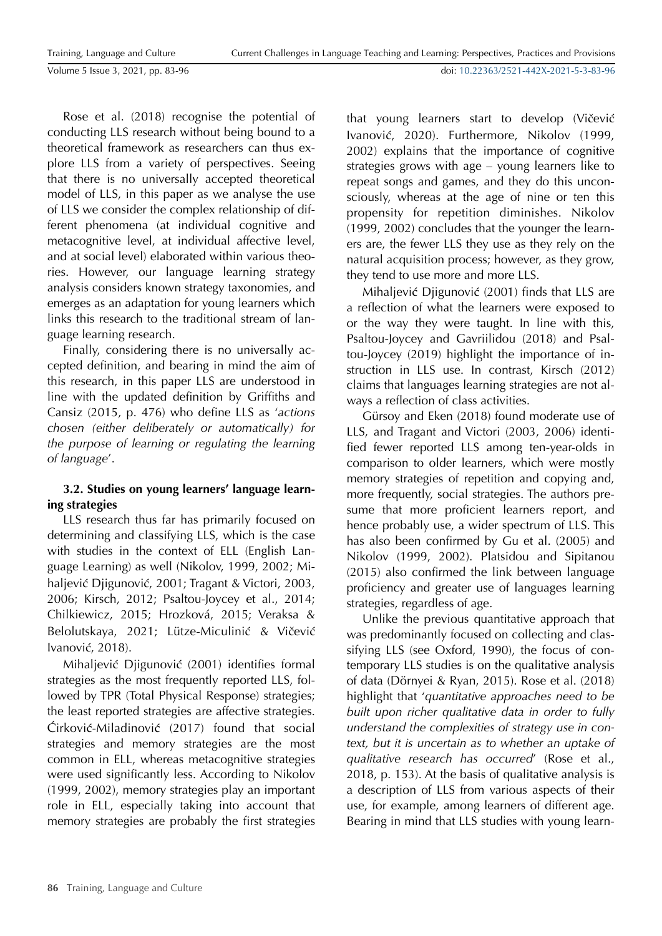doi: [10.22363/2521-442X-2021-5-3-83-96](https://doi.org/10.22363/2521-442X-2021-5-3-83-96)

Rose et al. (2018) recognise the potential of conducting LLS research without being bound to a theoretical framework as researchers can thus explore LLS from a variety of perspectives. Seeing that there is no universally accepted theoretical model of LLS, in this paper as we analyse the use of LLS we consider the complex relationship of different phenomena (at individual cognitive and metacognitive level, at individual affective level, and at social level) elaborated within various theories. However, our language learning strategy analysis considers known strategy taxonomies, and emerges as an adaptation for young learners which links this research to the traditional stream of language learning research.

Finally, considering there is no universally accepted definition, and bearing in mind the aim of this research, in this paper LLS are understood in line with the updated definition by Griffiths and Cansiz (2015, p. 476) who define LLS as '*actions chosen (either deliberately or automatically) for the purpose of learning or regulating the learning of language*'.

# **3.2. Studies on young learners' language learning strategies**

LLS research thus far has primarily focused on determining and classifying LLS, which is the case with studies in the context of ELL (English Language Learning) as well (Nikolov, 1999, 2002; Mihaljević Djigunović, 2001; Tragant & Victori, 2003, 2006; Kirsch, 2012; Psaltou-Joycey et al., 2014; Chilkiewicz, 2015; Hrozková, 2015; Veraksa & Belolutskaya, 2021; Lütze-Miculinić & Vičević Ivanović, 2018).

Mihaljević Djigunović (2001) identifies formal strategies as the most frequently reported LLS, followed by TPR (Total Physical Response) strategies; the least reported strategies are affective strategies. Ćirković-Miladinović (2017) found that social strategies and memory strategies are the most common in ELL, whereas metacognitive strategies were used significantly less. According to Nikolov (1999, 2002), memory strategies play an important role in ELL, especially taking into account that memory strategies are probably the first strategies that young learners start to develop (Vičević Ivanović, 2020). Furthermore, Nikolov (1999, 2002) explains that the importance of cognitive strategies grows with age – young learners like to repeat songs and games, and they do this unconsciously, whereas at the age of nine or ten this propensity for repetition diminishes. Nikolov (1999, 2002) concludes that the younger the learners are, the fewer LLS they use as they rely on the natural acquisition process; however, as they grow, they tend to use more and more LLS.

Mihaljević Djigunović (2001) finds that LLS are a reflection of what the learners were exposed to or the way they were taught. In line with this, Psaltou-Joycey and Gavriilidou (2018) and Psaltou-Joycey (2019) highlight the importance of instruction in LLS use. In contrast, Kirsch (2012) claims that languages learning strategies are not always a reflection of class activities.

Gürsoy and Eken (2018) found moderate use of LLS, and Tragant and Victori (2003, 2006) identified fewer reported LLS among ten-year-olds in comparison to older learners, which were mostly memory strategies of repetition and copying and, more frequently, social strategies. The authors presume that more proficient learners report, and hence probably use, a wider spectrum of LLS. This has also been confirmed by Gu et al. (2005) and Nikolov (1999, 2002). Platsidou and Sipitanou (2015) also confirmed the link between language proficiency and greater use of languages learning strategies, regardless of age.

Unlike the previous quantitative approach that was predominantly focused on collecting and classifying LLS (see Oxford, 1990), the focus of contemporary LLS studies is on the qualitative analysis of data (Dörnyei & Ryan, 2015). Rose et al. (2018) highlight that '*quantitative approaches need to be built upon richer qualitative data in order to fully understand the complexities of strategy use in context, but it is uncertain as to whether an uptake of qualitative research has occurred*' (Rose et al., 2018, p. 153). At the basis of qualitative analysis is a description of LLS from various aspects of their use, for example, among learners of different age. Bearing in mind that LLS studies with young learn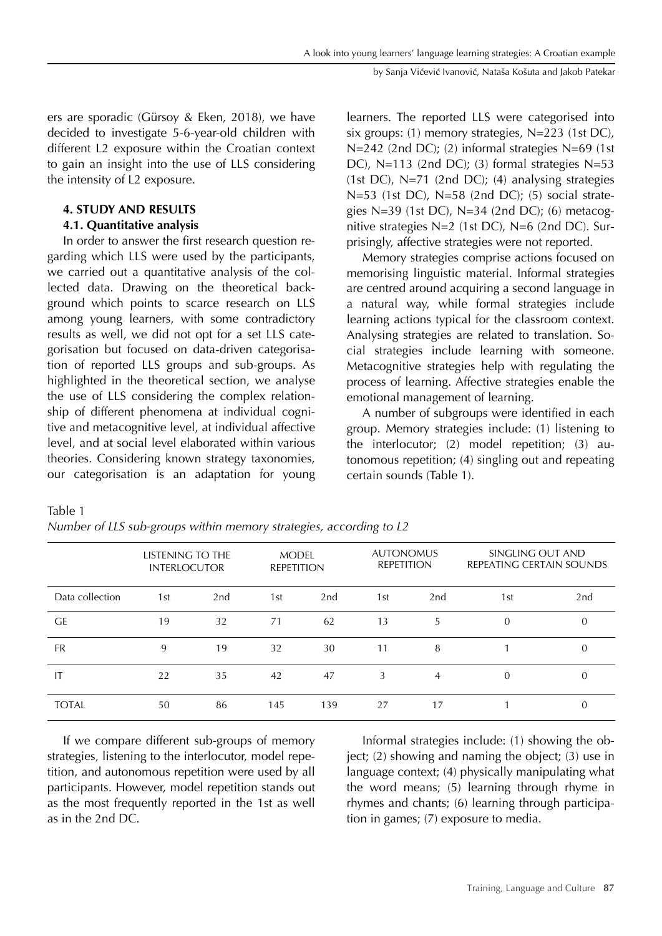ers are sporadic (Gürsoy & Eken, 2018), we have decided to investigate 5-6-year-old children with different L2 exposure within the Croatian context to gain an insight into the use of LLS considering the intensity of L2 exposure.

# **4. STUDY AND RESULTS**

# **4.1. Quantitative analysis**

In order to answer the first research question regarding which LLS were used by the participants, we carried out a quantitative analysis of the collected data. Drawing on the theoretical background which points to scarce research on LLS among young learners, with some contradictory results as well, we did not opt for a set LLS categorisation but focused on data-driven categorisation of reported LLS groups and sub-groups. As highlighted in the theoretical section, we analyse the use of LLS considering the complex relationship of different phenomena at individual cognitive and metacognitive level, at individual affective level, and at social level elaborated within various theories. Considering known strategy taxonomies, our categorisation is an adaptation for young learners. The reported LLS were categorised into six groups: (1) memory strategies, N=223 (1st DC), N=242 (2nd DC); (2) informal strategies N=69 (1st DC), N=113 (2nd DC); (3) formal strategies N=53 (1st DC),  $N=71$  (2nd DC); (4) analysing strategies N=53 (1st DC), N=58 (2nd DC); (5) social strategies N=39 (1st DC), N=34 (2nd DC); (6) metacognitive strategies N=2 (1st DC), N=6 (2nd DC). Surprisingly, affective strategies were not reported.

Memory strategies comprise actions focused on memorising linguistic material. Informal strategies are centred around acquiring a second language in a natural way, while formal strategies include learning actions typical for the classroom context. Analysing strategies are related to translation. Social strategies include learning with someone. Metacognitive strategies help with regulating the process of learning. Affective strategies enable the emotional management of learning.

A number of subgroups were identified in each group. Memory strategies include: (1) listening to the interlocutor; (2) model repetition; (3) autonomous repetition; (4) singling out and repeating certain sounds (Table 1).

Table 1

*Number of LLS sub-groups within memory strategies, according to L2*

|                 | LISTENING TO THE<br><b>INTERLOCUTOR</b> |     |     | <b>MODEL</b><br><b>REPETITION</b> |     | <b>AUTONOMUS</b><br><b>REPETITION</b> | SINGLING OUT AND<br>REPEATING CERTAIN SOUNDS |          |  |
|-----------------|-----------------------------------------|-----|-----|-----------------------------------|-----|---------------------------------------|----------------------------------------------|----------|--|
| Data collection | 1st                                     | 2nd | 1st | 2nd                               | 1st | 2nd                                   | 1st                                          | 2nd      |  |
| <b>GE</b>       | 19                                      | 32  | 71  | 62                                | 13  | 5                                     | $\theta$                                     | $\theta$ |  |
| <b>FR</b>       | 9                                       | 19  | 32  | 30                                | 11  | 8                                     |                                              | $\theta$ |  |
| IT              | 22                                      | 35  | 42  | 47                                | 3   | $\overline{4}$                        | $\theta$                                     | $\theta$ |  |
| <b>TOTAL</b>    | 50                                      | 86  | 145 | 139                               | 27  | 17                                    |                                              | $\theta$ |  |

If we compare different sub-groups of memory strategies, listening to the interlocutor, model repetition, and autonomous repetition were used by all participants. However, model repetition stands out as the most frequently reported in the 1st as well as in the 2nd DC.

Informal strategies include: (1) showing the object; (2) showing and naming the object; (3) use in language context; (4) physically manipulating what the word means; (5) learning through rhyme in rhymes and chants; (6) learning through participation in games; (7) exposure to media.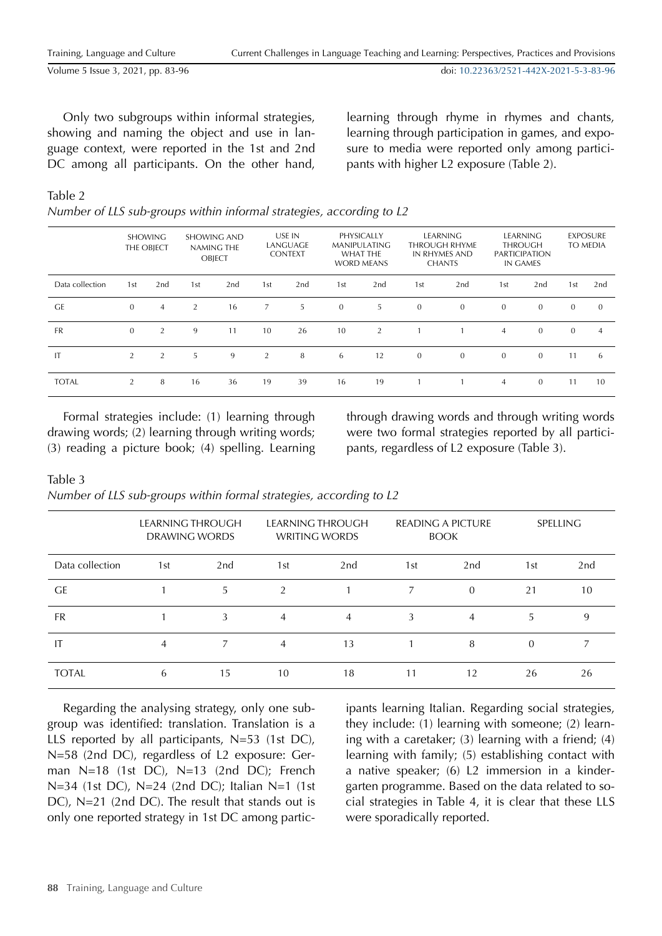doi: [10.22363/2521-442X-2021-5-3-83-96](https://doi.org/10.22363/2521-442X-2021-5-3-83-96)

Only two subgroups within informal strategies, showing and naming the object and use in language context, were reported in the 1st and 2nd DC among all participants. On the other hand,

learning through rhyme in rhymes and chants, learning through participation in games, and exposure to media were reported only among participants with higher L2 exposure (Table 2).

# Table 2

|                 |                | <b>SHOWING</b><br>THE OBJECT | <b>SHOWING AND</b><br>NAMING THE<br><b>OBJECT</b> |     | USE IN<br>LANGUAGE<br><b>CONTEXT</b> |     | PHYSICALLY<br><b>MANIPULATING</b><br><b>WHAT THE</b><br><b>WORD MEANS</b> |     | <b>LEARNING</b><br><b>THROUGH RHYME</b><br>IN RHYMES AND<br><b>CHANTS</b> |              | <b>LEARNING</b><br>THROUGH<br><b>PARTICIPATION</b><br>IN GAMES |                | <b>EXPOSURE</b><br>TO MEDIA |                |
|-----------------|----------------|------------------------------|---------------------------------------------------|-----|--------------------------------------|-----|---------------------------------------------------------------------------|-----|---------------------------------------------------------------------------|--------------|----------------------------------------------------------------|----------------|-----------------------------|----------------|
| Data collection | 1st            | 2nd                          | 1 <sub>st</sub>                                   | 2nd | 1st                                  | 2nd | 1st                                                                       | 2nd | 1st                                                                       | 2nd          | 1st                                                            | 2nd            | 1st                         | 2nd            |
| <b>GE</b>       | $\mathbf{0}$   | $\overline{4}$               | 2                                                 | 16  | $\overline{7}$                       | 5   | $\mathbf{0}$                                                              | 5   | $\overline{0}$                                                            | $\mathbf{0}$ | $\mathbf{0}$                                                   | $\mathbf{0}$   | $\mathbf{0}$                | $\mathbf{0}$   |
| <b>FR</b>       | $\mathbf{0}$   | 2                            | 9                                                 | 11  | 10                                   | 26  | 10                                                                        | 2   |                                                                           |              | $\overline{4}$                                                 | $\mathbf{0}$   | $\mathbf{0}$                | $\overline{4}$ |
| IT              | $\overline{2}$ | 2                            | 5                                                 | 9   | 2                                    | 8   | 6                                                                         | 12  | $\overline{0}$                                                            | $\mathbf{0}$ | $\mathbf{0}$                                                   | $\mathbf{0}$   | 11                          | 6              |
| <b>TOTAL</b>    | $\overline{2}$ | 8                            | 16                                                | 36  | 19                                   | 39  | 16                                                                        | 19  |                                                                           |              | 4                                                              | $\overline{0}$ | 11                          | 10             |

Formal strategies include: (1) learning through drawing words; (2) learning through writing words; (3) reading a picture book; (4) spelling. Learning through drawing words and through writing words were two formal strategies reported by all participants, regardless of L2 exposure (Table 3).

# Table 3

*Number of LLS sub-groups within formal strategies, according to L2*

|                 | LEARNING THROUGH<br>DRAWING WORDS |     |     | LEARNING THROUGH<br><b>WRITING WORDS</b> |     | <b>READING A PICTURE</b><br><b>BOOK</b> | <b>SPELLING</b> |                 |  |
|-----------------|-----------------------------------|-----|-----|------------------------------------------|-----|-----------------------------------------|-----------------|-----------------|--|
| Data collection | 1st                               | 2nd | 1st | 2nd                                      | 1st | 2nd                                     | 1st             | 2 <sub>nd</sub> |  |
| <b>GE</b>       |                                   | 5   | 2   |                                          | 7   | $\Omega$                                | 21              | 10              |  |
| <b>FR</b>       |                                   | 3   | 4   | 4                                        | 3   | 4                                       | 5               | 9               |  |
| IT              | $\overline{4}$                    | 7   | 4   | 13                                       |     | 8                                       | $\Omega$        |                 |  |
| <b>TOTAL</b>    | 6                                 | 15  | 10  | 18                                       | 11  | 12                                      | 26              | 26              |  |

Regarding the analysing strategy, only one subgroup was identified: translation. Translation is a LLS reported by all participants, N=53 (1st DC), N=58 (2nd DC), regardless of L2 exposure: German N=18 (1st DC), N=13 (2nd DC); French N=34 (1st DC), N=24 (2nd DC); Italian N=1 (1st DC), N=21 (2nd DC). The result that stands out is only one reported strategy in 1st DC among partic-

ipants learning Italian. Regarding social strategies, they include: (1) learning with someone; (2) learning with a caretaker; (3) learning with a friend; (4) learning with family; (5) establishing contact with a native speaker; (6) L2 immersion in a kindergarten programme. Based on the data related to social strategies in Table 4, it is clear that these LLS were sporadically reported.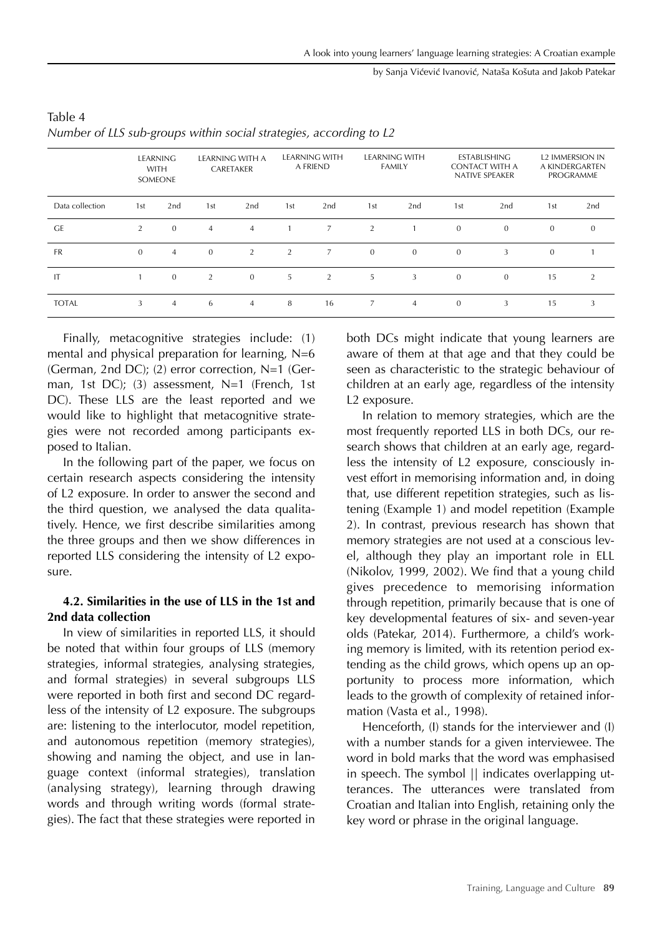#### by Sanja Vićević Ivanović, Nataša Košuta and Jakob Patekar

|                 |              | <b>LEARNING</b><br><b>WITH</b><br>SOMEONE |                | LEARNING WITH A<br>CARETAKER |                | <b>LEARNING WITH</b><br>A FRIEND |                | <b>LEARNING WITH</b><br><b>FAMILY</b> |              | ESTABLISHING<br><b>CONTACT WITH A</b><br><b>NATIVE SPEAKER</b> |              | <b>L2 IMMERSION IN</b><br>A KINDERGARTEN<br>PROGRAMME |  |
|-----------------|--------------|-------------------------------------------|----------------|------------------------------|----------------|----------------------------------|----------------|---------------------------------------|--------------|----------------------------------------------------------------|--------------|-------------------------------------------------------|--|
| Data collection | 1st          | 2nd                                       | 1st            | 2nd                          | 1st            | 2nd                              | 1st            | 2nd                                   | 1st          | 2nd                                                            | 1st          | 2nd                                                   |  |
| <b>GE</b>       | 2            | $\overline{0}$                            | $\overline{4}$ | $\overline{4}$               |                | $\overline{7}$                   | $\overline{2}$ |                                       | $\mathbf{0}$ | $\mathbf{0}$                                                   | $\mathbf{0}$ | $\theta$                                              |  |
| <b>FR</b>       | $\mathbf{0}$ | $\overline{4}$                            | $\mathbf{0}$   | 2                            | $\overline{2}$ | $\overline{7}$                   | $\mathbf{0}$   | $\overline{0}$                        | $\mathbf{0}$ | 3                                                              | $\mathbf{0}$ |                                                       |  |
| IT              |              | $\overline{0}$                            | 2              | $\mathbf{0}$                 | 5              | 2                                | 5              | 3                                     | $\mathbf{0}$ | $\mathbf{0}$                                                   | 15           | 2                                                     |  |
| <b>TOTAL</b>    | 3            | $\overline{4}$                            | 6              | $\overline{4}$               | 8              | 16                               | 7              | $\overline{4}$                        | $\mathbf{0}$ | 3                                                              | 15           | 3                                                     |  |

# Table 4 *Number of LLS sub-groups within social strategies, according to L2*

Finally, metacognitive strategies include: (1) mental and physical preparation for learning,  $N=6$ (German, 2nd DC); (2) error correction, N=1 (German, 1st DC); (3) assessment, N=1 (French, 1st DC). These LLS are the least reported and we would like to highlight that metacognitive strategies were not recorded among participants exposed to Italian.

In the following part of the paper, we focus on certain research aspects considering the intensity of L2 exposure. In order to answer the second and the third question, we analysed the data qualitatively. Hence, we first describe similarities among the three groups and then we show differences in reported LLS considering the intensity of L2 exposure.

# **4.2. Similarities in the use of LLS in the 1st and 2nd data collection**

In view of similarities in reported LLS, it should be noted that within four groups of LLS (memory strategies, informal strategies, analysing strategies, and formal strategies) in several subgroups LLS were reported in both first and second DC regardless of the intensity of L2 exposure. The subgroups are: listening to the interlocutor, model repetition, and autonomous repetition (memory strategies), showing and naming the object, and use in language context (informal strategies), translation (analysing strategy), learning through drawing words and through writing words (formal strategies). The fact that these strategies were reported in both DCs might indicate that young learners are aware of them at that age and that they could be seen as characteristic to the strategic behaviour of children at an early age, regardless of the intensity L2 exposure.

In relation to memory strategies, which are the most frequently reported LLS in both DCs, our research shows that children at an early age, regardless the intensity of L2 exposure, consciously invest effort in memorising information and, in doing that, use different repetition strategies, such as listening (Example 1) and model repetition (Example 2). In contrast, previous research has shown that memory strategies are not used at a conscious level, although they play an important role in ELL (Nikolov, 1999, 2002). We find that a young child gives precedence to memorising information through repetition, primarily because that is one of key developmental features of six- and seven-year olds (Patekar, 2014). Furthermore, a child's working memory is limited, with its retention period extending as the child grows, which opens up an opportunity to process more information, which leads to the growth of complexity of retained information (Vasta et al., 1998).

Henceforth, (I) stands for the interviewer and (I) with a number stands for a given interviewee. The word in bold marks that the word was emphasised in speech. The symbol || indicates overlapping utterances. The utterances were translated from Croatian and Italian into English, retaining only the key word or phrase in the original language.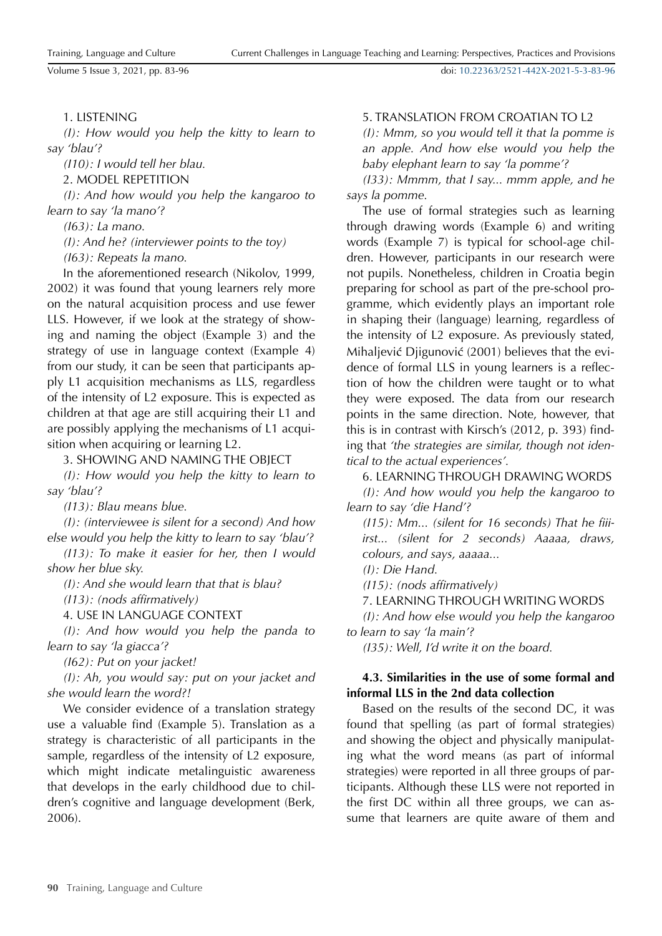# 1. LISTENING

*(I): How would you help the kitty to learn to say 'blau'?*

*(I10): I would tell her blau.*

2. MODEL REPETITION

*(I): And how would you help the kangaroo to learn to say 'la mano'?*

*(I63): La mano.*

*(I): And he? (interviewer points to the toy) (I63): Repeats la mano.* 

In the aforementioned research (Nikolov, 1999, 2002) it was found that young learners rely more on the natural acquisition process and use fewer LLS. However, if we look at the strategy of showing and naming the object (Example 3) and the strategy of use in language context (Example 4) from our study, it can be seen that participants apply L1 acquisition mechanisms as LLS, regardless of the intensity of L2 exposure. This is expected as children at that age are still acquiring their L1 and are possibly applying the mechanisms of L1 acquisition when acquiring or learning L2.

3. SHOWING AND NAMING THE OBJECT

*(I): How would you help the kitty to learn to say 'blau'?*

*(I13): Blau means blue.*

*(I): (interviewee is silent for a second) And how else would you help the kitty to learn to say 'blau'?*

*(I13): To make it easier for her, then I would show her blue sky.* 

*(I): And she would learn that that is blau?*

*(I13): (nods affirmatively)*

4. USE IN LANGUAGE CONTEXT

*(I): And how would you help the panda to learn to say 'la giacca'?*

*(I62): Put on your jacket!*

*(I): Ah, you would say: put on your jacket and she would learn the word?!*

We consider evidence of a translation strategy use a valuable find (Example 5). Translation as a strategy is characteristic of all participants in the sample, regardless of the intensity of L2 exposure, which might indicate metalinguistic awareness that develops in the early childhood due to children's cognitive and language development (Berk, 2006).

# 5. TRANSLATION FROM CROATIAN TO L2

*(I): Mmm, so you would tell it that la pomme is an apple. And how else would you help the baby elephant learn to say 'la pomme'?*

*(I33): Mmmm, that I say... mmm apple, and he says la pomme.*

The use of formal strategies such as learning through drawing words (Example 6) and writing words (Example 7) is typical for school-age children. However, participants in our research were not pupils. Nonetheless, children in Croatia begin preparing for school as part of the pre-school programme, which evidently plays an important role in shaping their (language) learning, regardless of the intensity of L2 exposure. As previously stated, Mihaljević Djigunović (2001) believes that the evidence of formal LLS in young learners is a reflection of how the children were taught or to what they were exposed. The data from our research points in the same direction. Note, however, that this is in contrast with Kirsch's (2012, p. 393) finding that *'the strategies are similar, though not identical to the actual experiences'.*

6. LEARNING THROUGH DRAWING WORDS

*(I): And how would you help the kangaroo to learn to say 'die Hand'?*

*(I15): Mm... (silent for 16 seconds) That he fiiiirst... (silent for 2 seconds) Aaaaa, draws, colours, and says, aaaaa...*

*(I): Die Hand.*

*(I15): (nods affirmatively)*

7. LEARNING THROUGH WRITING WORDS

*(I): And how else would you help the kangaroo to learn to say 'la main'?*

*(I35): Well, I'd write it on the board.*

# **4.3. Similarities in the use of some formal and informal LLS in the 2nd data collection**

Based on the results of the second DC, it was found that spelling (as part of formal strategies) and showing the object and physically manipulating what the word means (as part of informal strategies) were reported in all three groups of participants. Although these LLS were not reported in the first DC within all three groups, we can assume that learners are quite aware of them and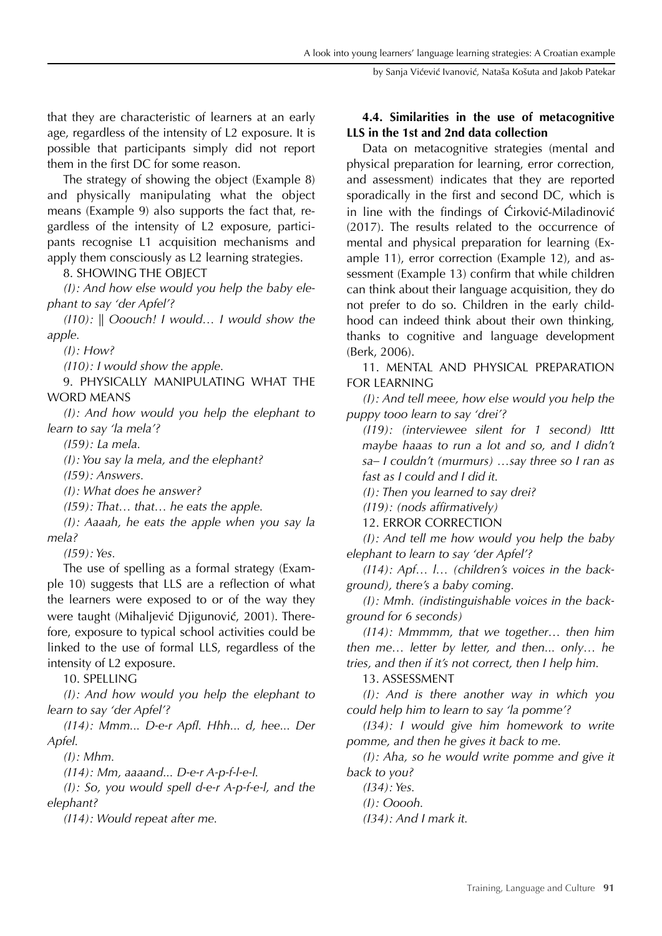that they are characteristic of learners at an early age, regardless of the intensity of L2 exposure. It is possible that participants simply did not report them in the first DC for some reason.

The strategy of showing the object (Example 8) and physically manipulating what the object means (Example 9) also supports the fact that, regardless of the intensity of L2 exposure, participants recognise L1 acquisition mechanisms and apply them consciously as L2 learning strategies.

8. SHOWING THE OBJECT

*(I): And how else would you help the baby elephant to say 'der Apfel'?*

*(I10): || Ooouch! I would… I would show the apple.*

*(I): How?*

*(I10): I would show the apple.*

9. PHYSICALLY MANIPULATING WHAT THE WORD MEANS

*(I): And how would you help the elephant to learn to say 'la mela'?*

*(I59): La mela.*

*(I): You say la mela, and the elephant?*

*(I59): Answers.*

*(I): What does he answer?*

*(I59): That… that… he eats the apple.*

*(I): Aaaah, he eats the apple when you say la mela?*

*(I59): Yes.*

The use of spelling as a formal strategy (Example 10) suggests that LLS are a reflection of what the learners were exposed to or of the way they were taught (Mihaljević Djigunović, 2001). Therefore, exposure to typical school activities could be linked to the use of formal LLS, regardless of the intensity of L2 exposure.

10. SPELLING

*(I): And how would you help the elephant to learn to say 'der Apfel'?*

*(I14): Mmm... D-e-r Apfl. Hhh... d, hee... Der Apfel.*

*(I): Mhm.*

*(I14): Mm, aaaand... D-e-r A-p-f-l-e-l.*

*(I): So, you would spell d-e-r A-p-f-e-l, and the elephant?*

*(I14): Would repeat after me.*

# **4.4. Similarities in the use of metacognitive LLS in the 1st and 2nd data collection**

Data on metacognitive strategies (mental and physical preparation for learning, error correction, and assessment) indicates that they are reported sporadically in the first and second DC, which is in line with the findings of Ćirković-Miladinović (2017). The results related to the occurrence of mental and physical preparation for learning (Example 11), error correction (Example 12), and assessment (Example 13) confirm that while children can think about their language acquisition, they do not prefer to do so. Children in the early childhood can indeed think about their own thinking, thanks to cognitive and language development (Berk, 2006).

11. MENTAL AND PHYSICAL PREPARATION FOR LEARNING

*(I): And tell meee, how else would you help the puppy tooo learn to say 'drei'?* 

*(I19): (interviewee silent for 1 second) Ittt maybe haaas to run a lot and so, and I didn't sa– I couldn't (murmurs) …say three so I ran as fast as I could and I did it.* 

*(I): Then you learned to say drei?*

*(I19): (nods affirmatively)*

12. ERROR CORRECTION

*(I): And tell me how would you help the baby elephant to learn to say 'der Apfel'?*

*(I14): Apf… l… (children's voices in the background), there's a baby coming.*

*(I): Mmh. (indistinguishable voices in the background for 6 seconds)*

*(I14): Mmmmm, that we together… then him then me… letter by letter, and then... only… he tries, and then if it's not correct, then I help him.*

13. ASSESSMENT

*(I): And is there another way in which you could help him to learn to say 'la pomme'?*

*(I34): I would give him homework to write pomme, and then he gives it back to me.*

*(I): Aha, so he would write pomme and give it back to you?*

*(I34): Yes.*

*(I): Ooooh. (I34): And I mark it.*

**90** Training, Language and CultureTraining, Language and Culture **91**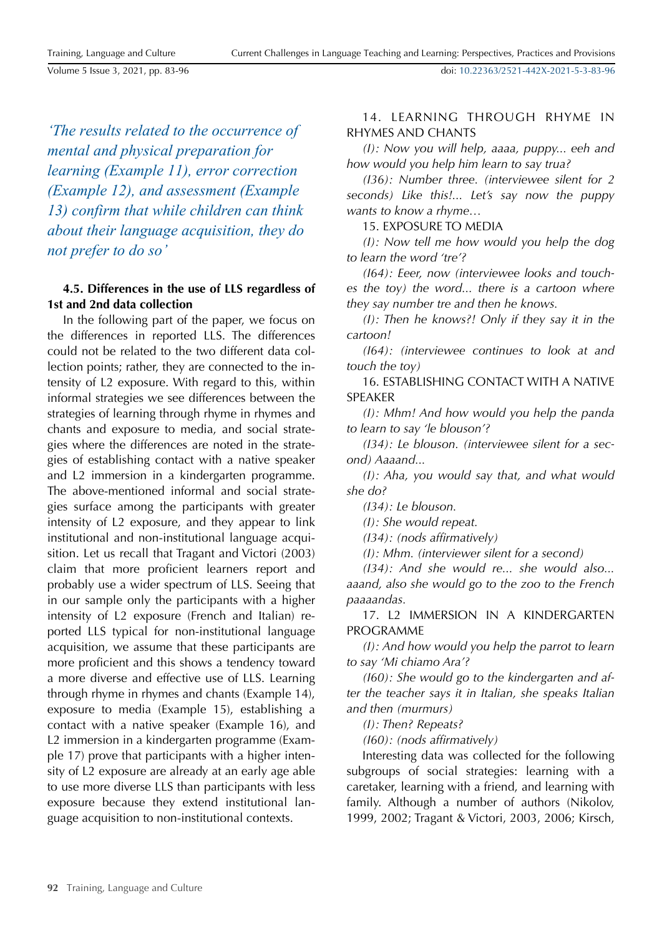Training, Language and Culture

Volume 5 Issue 3, 2021, pp. 83-96

doi: [10.22363/2521-442X-2021-5-3-83-96](https://doi.org/10.22363/2521-442X-2021-5-3-83-96)

*'The results related to the occurrence of mental and physical preparation for learning (Example 11), error correction (Example 12), and assessment (Example 13) confirm that while children can think about their language acquisition, they do not prefer to do so'*

# **4.5. Differences in the use of LLS regardless of 1st and 2nd data collection**

In the following part of the paper, we focus on the differences in reported LLS. The differences could not be related to the two different data collection points; rather, they are connected to the intensity of L2 exposure. With regard to this, within informal strategies we see differences between the strategies of learning through rhyme in rhymes and chants and exposure to media, and social strategies where the differences are noted in the strategies of establishing contact with a native speaker and L2 immersion in a kindergarten programme. The above-mentioned informal and social strategies surface among the participants with greater intensity of L2 exposure, and they appear to link institutional and non-institutional language acquisition. Let us recall that Tragant and Victori (2003) claim that more proficient learners report and probably use a wider spectrum of LLS. Seeing that in our sample only the participants with a higher intensity of L2 exposure (French and Italian) reported LLS typical for non-institutional language acquisition, we assume that these participants are more proficient and this shows a tendency toward a more diverse and effective use of LLS. Learning through rhyme in rhymes and chants (Example 14), exposure to media (Example 15), establishing a contact with a native speaker (Example 16), and L2 immersion in a kindergarten programme (Example 17) prove that participants with a higher intensity of L2 exposure are already at an early age able to use more diverse LLS than participants with less exposure because they extend institutional language acquisition to non-institutional contexts.

14. LEARNING THROUGH RHYME IN RHYMES AND CHANTS

*(I): Now you will help, aaaa, puppy... eeh and how would you help him learn to say trua?*

*(I36): Number three. (interviewee silent for 2 seconds) Like this!... Let's say now the puppy wants to know a rhyme…*

15. EXPOSURE TO MEDIA

*(I): Now tell me how would you help the dog to learn the word 'tre'?*

*(I64): Eeer, now (interviewee looks and touches the toy) the word... there is a cartoon where they say number tre and then he knows.*

*(I): Then he knows?! Only if they say it in the cartoon!*

*(I64): (interviewee continues to look at and touch the toy)*

16. ESTABLISHING CONTACT WITH A NATIVE SPEAKER

*(I): Mhm! And how would you help the panda to learn to say 'le blouson'?*

*(I34): Le blouson. (interviewee silent for a second) Aaaand...*

*(I): Aha, you would say that, and what would she do?*

*(I34): Le blouson.*

*(I): She would repeat.*

*(I34): (nods affirmatively)*

*(I): Mhm. (interviewer silent for a second)*

*(I34): And she would re... she would also... aaand, also she would go to the zoo to the French paaaandas.*

17. L2 IMMERSION IN A KINDERGARTEN PROGRAMME

*(I): And how would you help the parrot to learn to say 'Mi chiamo Ara'?*

*(I60): She would go to the kindergarten and after the teacher says it in Italian, she speaks Italian and then (murmurs)*

*(I): Then? Repeats?*

*(I60): (nods affirmatively)*

Interesting data was collected for the following subgroups of social strategies: learning with a caretaker, learning with a friend, and learning with family. Although a number of authors (Nikolov, 1999, 2002; Tragant & Victori, 2003, 2006; Kirsch,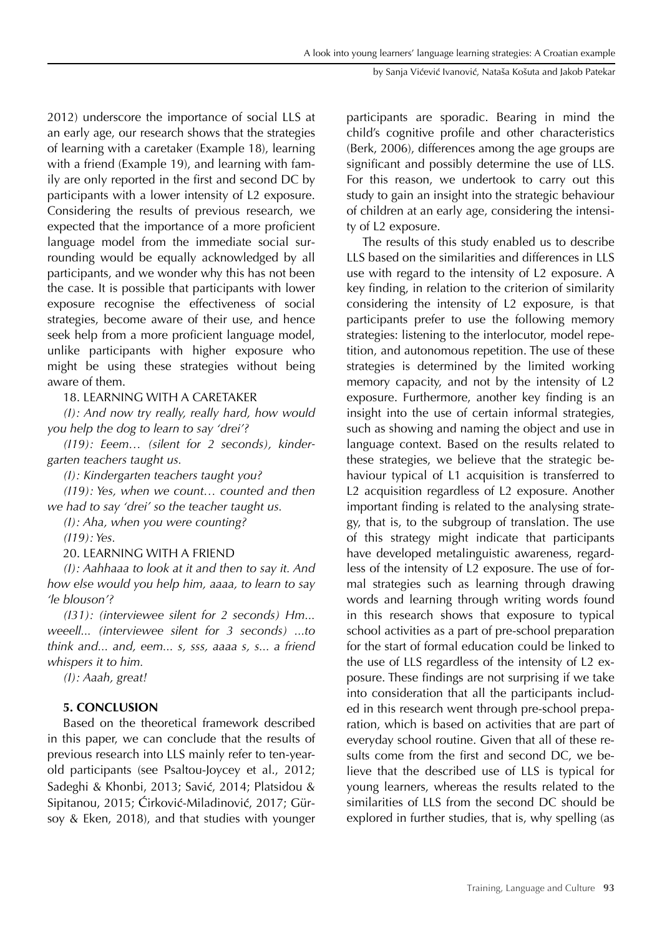2012) underscore the importance of social LLS at an early age, our research shows that the strategies of learning with a caretaker (Example 18), learning with a friend (Example 19), and learning with family are only reported in the first and second DC by participants with a lower intensity of L2 exposure. Considering the results of previous research, we expected that the importance of a more proficient language model from the immediate social surrounding would be equally acknowledged by all participants, and we wonder why this has not been the case. It is possible that participants with lower exposure recognise the effectiveness of social strategies, become aware of their use, and hence seek help from a more proficient language model, unlike participants with higher exposure who might be using these strategies without being aware of them.

# 18. LEARNING WITH A CARETAKER

*(I): And now try really, really hard, how would you help the dog to learn to say 'drei'?*

*(I19): Eeem… (silent for 2 seconds), kindergarten teachers taught us.*

*(I): Kindergarten teachers taught you?*

*(I19): Yes, when we count… counted and then we had to say 'drei' so the teacher taught us.* 

*(I): Aha, when you were counting?*

*(I19): Yes.*

# 20. LEARNING WITH A FRIEND

*(I): Aahhaaa to look at it and then to say it. And how else would you help him, aaaa, to learn to say 'le blouson'?*

*(I31): (interviewee silent for 2 seconds) Hm... weeell... (interviewee silent for 3 seconds) ...to think and... and, eem... s, sss, aaaa s, s... a friend whispers it to him.*

*(I): Aaah, great!*

# **5. CONCLUSION**

Based on the theoretical framework described in this paper, we can conclude that the results of previous research into LLS mainly refer to ten-yearold participants (see Psaltou-Joycey et al., 2012; Sadeghi & Khonbi, 2013; Savić, 2014; Platsidou & Sipitanou, 2015; Ćirković-Miladinović, 2017; Gürsoy & Eken, 2018), and that studies with younger participants are sporadic. Bearing in mind the child's cognitive profile and other characteristics (Berk, 2006), differences among the age groups are significant and possibly determine the use of LLS. For this reason, we undertook to carry out this study to gain an insight into the strategic behaviour of children at an early age, considering the intensity of L2 exposure.

The results of this study enabled us to describe LLS based on the similarities and differences in LLS use with regard to the intensity of L2 exposure. A key finding, in relation to the criterion of similarity considering the intensity of L2 exposure, is that participants prefer to use the following memory strategies: listening to the interlocutor, model repetition, and autonomous repetition. The use of these strategies is determined by the limited working memory capacity, and not by the intensity of L2 exposure. Furthermore, another key finding is an insight into the use of certain informal strategies, such as showing and naming the object and use in language context. Based on the results related to these strategies, we believe that the strategic behaviour typical of L1 acquisition is transferred to L2 acquisition regardless of L2 exposure. Another important finding is related to the analysing strategy, that is, to the subgroup of translation. The use of this strategy might indicate that participants have developed metalinguistic awareness, regardless of the intensity of L2 exposure. The use of formal strategies such as learning through drawing words and learning through writing words found in this research shows that exposure to typical school activities as a part of pre-school preparation for the start of formal education could be linked to the use of LLS regardless of the intensity of L2 exposure. These findings are not surprising if we take into consideration that all the participants included in this research went through pre-school preparation, which is based on activities that are part of everyday school routine. Given that all of these results come from the first and second DC, we believe that the described use of LLS is typical for young learners, whereas the results related to the similarities of LLS from the second DC should be explored in further studies, that is, why spelling (as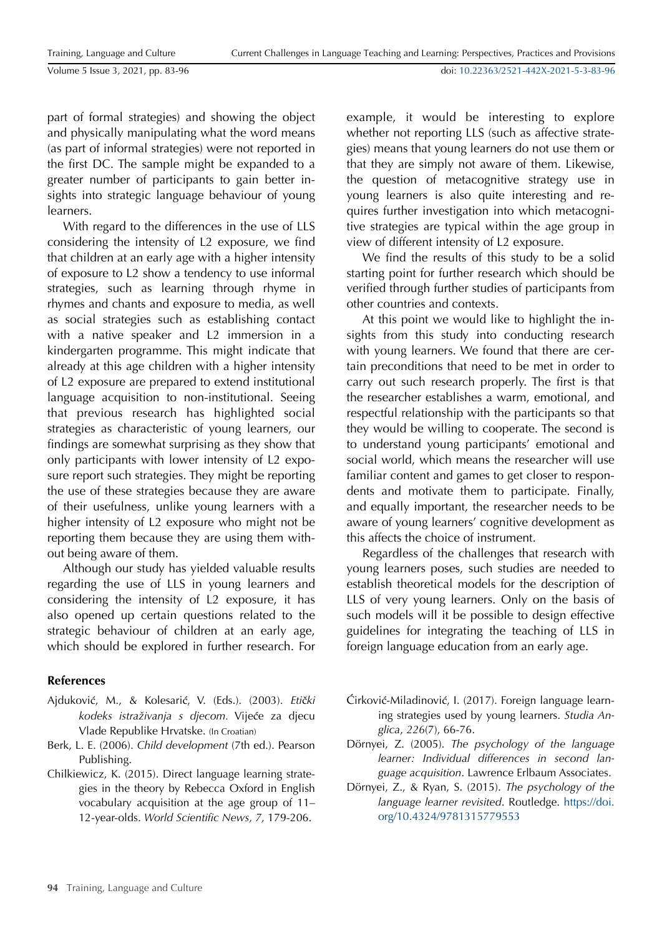doi: [10.22363/2521-442X-2021-5-3-83-96](https://doi.org/10.22363/2521-442X-2021-5-3-83-96)

part of formal strategies) and showing the object and physically manipulating what the word means (as part of informal strategies) were not reported in the first DC. The sample might be expanded to a greater number of participants to gain better insights into strategic language behaviour of young learners.

With regard to the differences in the use of LLS considering the intensity of L2 exposure, we find that children at an early age with a higher intensity of exposure to L2 show a tendency to use informal strategies, such as learning through rhyme in rhymes and chants and exposure to media, as well as social strategies such as establishing contact with a native speaker and L2 immersion in a kindergarten programme. This might indicate that already at this age children with a higher intensity of L2 exposure are prepared to extend institutional language acquisition to non-institutional. Seeing that previous research has highlighted social strategies as characteristic of young learners, our findings are somewhat surprising as they show that only participants with lower intensity of L2 exposure report such strategies. They might be reporting the use of these strategies because they are aware of their usefulness, unlike young learners with a higher intensity of L2 exposure who might not be reporting them because they are using them without being aware of them.

Although our study has yielded valuable results regarding the use of LLS in young learners and considering the intensity of L2 exposure, it has also opened up certain questions related to the strategic behaviour of children at an early age, which should be explored in further research. For

## **References**

- Ajduković, M., & Kolesarić, V. (Eds.). (2003). *Eti*č*ki kodeks istraživanja s djecom.* Vijeće za djecu Vlade Republike Hrvatske. (In Croatian)
- Berk, L. E. (2006). *Child development* (7th ed.). Pearson Publishing.
- Chilkiewicz, K. (2015). Direct language learning strategies in the theory by Rebecca Oxford in English vocabulary acquisition at the age group of 11– 12-year-olds. *World Scientific News, 7,* 179-206.

example, it would be interesting to explore whether not reporting LLS (such as affective strategies) means that young learners do not use them or that they are simply not aware of them. Likewise, the question of metacognitive strategy use in young learners is also quite interesting and requires further investigation into which metacognitive strategies are typical within the age group in view of different intensity of L2 exposure.

We find the results of this study to be a solid starting point for further research which should be verified through further studies of participants from other countries and contexts.

At this point we would like to highlight the insights from this study into conducting research with young learners. We found that there are certain preconditions that need to be met in order to carry out such research properly. The first is that the researcher establishes a warm, emotional, and respectful relationship with the participants so that they would be willing to cooperate. The second is to understand young participants' emotional and social world, which means the researcher will use familiar content and games to get closer to respondents and motivate them to participate. Finally, and equally important, the researcher needs to be aware of young learners' cognitive development as this affects the choice of instrument.

Regardless of the challenges that research with young learners poses, such studies are needed to establish theoretical models for the description of LLS of very young learners. Only on the basis of such models will it be possible to design effective guidelines for integrating the teaching of LLS in foreign language education from an early age.

- Ćirković-Miladinović, I. (2017). Foreign language learning strategies used by young learners. *Studia Anglica*, *226*(7), 66-76.
- Dörnyei, Z. (2005). *The psychology of the language learner: Individual differences in second language acquisition*. Lawrence Erlbaum Associates.
- Dörnyei, Z., & Ryan, S. (2015). *The psychology of the language learner revisited*. Routledge. [https://doi.](https://doi.org/10.4324/9781315779553)  [org/10.4324/9781315779553](https://doi.org/10.4324/9781315779553)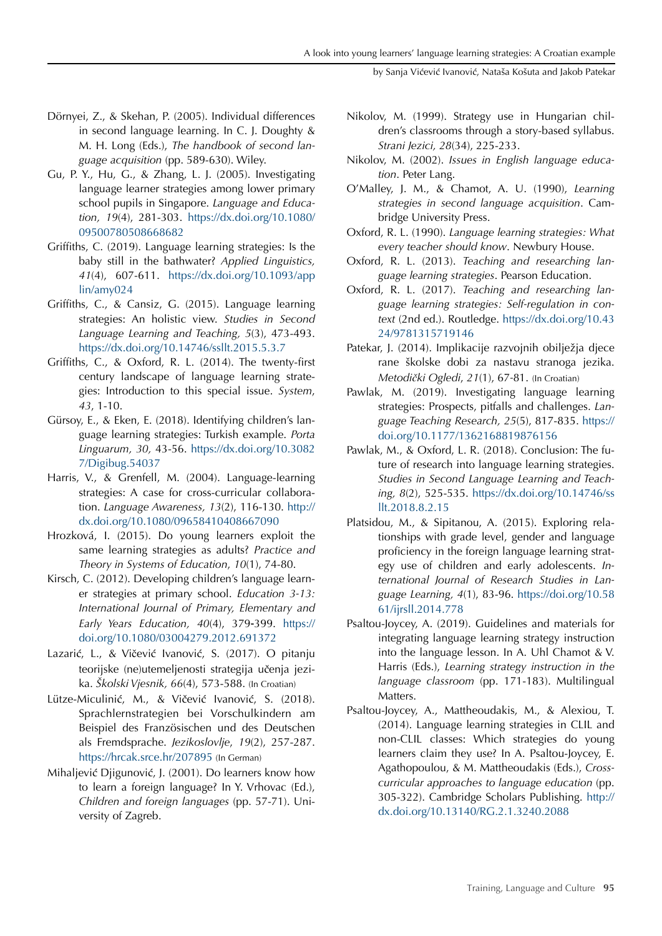by Sanja Vićević Ivanović, Nataša Košuta and Jakob Patekar

- Dörnyei, Z., & Skehan, P. (2005). Individual differences in second language learning. In C. J. Doughty & M. H. Long (Eds.), *The handbook of second language acquisition* (pp. 589-630). Wiley.
- Gu, P. Y., Hu, G., & Zhang, L. J. (2005). Investigating language learner strategies among lower primary school pupils in Singapore. *Language and Education, 19*(4), 281-303. [https://dx.doi.org/10.1080/](https://dx.doi.org/10.1080/09500780508668682)  [09500780508668682](https://dx.doi.org/10.1080/09500780508668682)
- Griffiths, C. (2019). Language learning strategies: Is the baby still in the bathwater? *Applied Linguistics, 41*(4), 607-611. [https://dx.doi.org/10.1093/app](https://dx.doi.org/10.1093/applin/amy024)  [lin/amy024](https://dx.doi.org/10.1093/applin/amy024)
- Griffiths, C., & Cansiz, G. (2015). Language learning strategies: An holistic view. *Studies in Second Language Learning and Teaching, 5*(3), 473-493. <https://dx.doi.org/10.14746/ssllt.2015.5.3.7>
- Griffiths, C., & Oxford, R. L. (2014). The twenty-first century landscape of language learning strategies: Introduction to this special issue. *System*, *43*, 1-10.
- Gürsoy, E., & Eken, E. (2018). Identifying children's language learning strategies: Turkish example. *Porta Linguarum, 30,* 43-56. [https://dx.doi.org/10.3082](https://dx.doi.org/10.30827/Digibug.54037)  [7/Digibug.54037](https://dx.doi.org/10.30827/Digibug.54037)
- Harris, V., & Grenfell, M. (2004). Language-learning strategies: A case for cross-curricular collaboration. *Language Awareness, 13*(2), 116-130. [http://](http://dx.doi.org/10.1080/09658410408667090) [dx.doi.org/10.1080/09658410408667090](http://dx.doi.org/10.1080/09658410408667090)
- Hrozková, I. (2015). Do young learners exploit the same learning strategies as adults? *Practice and Theory in Systems of Education*, *10*(1), 74-80.
- Kirsch, C. (2012). Developing children's language learner strategies at primary school. *Education 3-13: International Journal of Primary, Elementary and Early Years Education, 40*(4), 379-399. [https://](https://doi.org/10.1080/03004279.2012.691372) [doi.org/10.1080/03004279.2012.691372](https://doi.org/10.1080/03004279.2012.691372)
- Lazarić, L., & Vičević Ivanović, S. (2017). O pitanju teorijske (ne)utemeljenosti strategija učenja jezika. *Školski Vjesnik, 66*(4), 573-588. (In Croatian)
- Lütze-Miculinić, M., & Vičević Ivanović, S. (2018). Sprachlernstrategien bei Vorschulkindern am Beispiel des Französischen und des Deutschen als Fremdsprache. *Jezikoslovlje*, *19*(2), 257-287. <https://hrcak.srce.hr/207895> (In German)
- Mihaljević Djigunović, J. (2001). Do learners know how to learn a foreign language? In Y. Vrhovac (Ed.), *Children and foreign languages* (pp. 57-71). University of Zagreb.
- Nikolov, M. (1999). Strategy use in Hungarian children's classrooms through a story-based syllabus. *Strani Jezici, 28*(34), 225-233.
- Nikolov, M. (2002). *Issues in English language education*. Peter Lang.
- O'Malley, J. M., & Chamot, A. U. (1990), *Learning strategies in second language acquisition*. Cambridge University Press.
- Oxford, R. L. (1990). *Language learning strategies: What every teacher should know*. Newbury House.
- Oxford, R. L. (2013). *Teaching and researching language learning strategies*. Pearson Education.
- Oxford, R. L. (2017). *Teaching and researching language learning strategies: Self-regulation in context* (2nd ed.). Routledge. [https://dx.doi.org/10.43](https://dx.doi.org/10.4324/9781315719146)  [24/9781315719146](https://dx.doi.org/10.4324/9781315719146)
- Patekar, J. (2014). Implikacije razvojnih obilježja djece rane školske dobi za nastavu stranoga jezika. *Metodički Ogledi*, *21*(1), 67*-*81. (In Croatian)
- Pawlak, M. (2019). Investigating language learning strategies: Prospects, pitfalls and challenges. *Language Teaching Research, 25*(5), 817-835. [https://](https://doi.org/10.1177/1362168819876156) [doi.org/10.1177/1362168819876156](https://doi.org/10.1177/1362168819876156)
- Pawlak, M., & Oxford, L. R. (2018). Conclusion: The future of research into language learning strategies. *Studies in Second Language Learning and Teaching, 8*(2), 525-535. [https://dx.doi.org/10.14746/ss](https://dx.doi.org/10.14746/ssllt.2018.8.2.15)  [llt.2018.8.2.15](https://dx.doi.org/10.14746/ssllt.2018.8.2.15)
- Platsidou, M., & Sipitanou, A. (2015). Exploring relationships with grade level, gender and language proficiency in the foreign language learning strategy use of children and early adolescents. *International Journal of Research Studies in Language Learning, 4*(1), 83-96. [https://doi.org/10.58](https://doi.org/10.5861/ijrsll.2014.778)  [61/ijrsll.2014.778](https://doi.org/10.5861/ijrsll.2014.778)
- Psaltou-Joycey, A. (2019). Guidelines and materials for integrating language learning strategy instruction into the language lesson. In A. Uhl Chamot & V. Harris (Eds.), *Learning strategy instruction in the language classroom* (pp. 171-183). Multilingual Matters.
- Psaltou-Joycey, A., Mattheoudakis, M., & Alexiou, T. (2014). Language learning strategies in CLIL and non-CLIL classes: Which strategies do young learners claim they use? In A. Psaltou-Joycey, E. Agathopoulou, & M. Mattheoudakis (Eds.), *Crosscurricular approaches to language education* (pp. 305-322). Cambridge Scholars Publishing. [http://](http://dx.doi.org/10.13140/RG.2.1.3240.2088) [dx.doi.org/10.13140/RG.2.1.3240.2088](http://dx.doi.org/10.13140/RG.2.1.3240.2088)